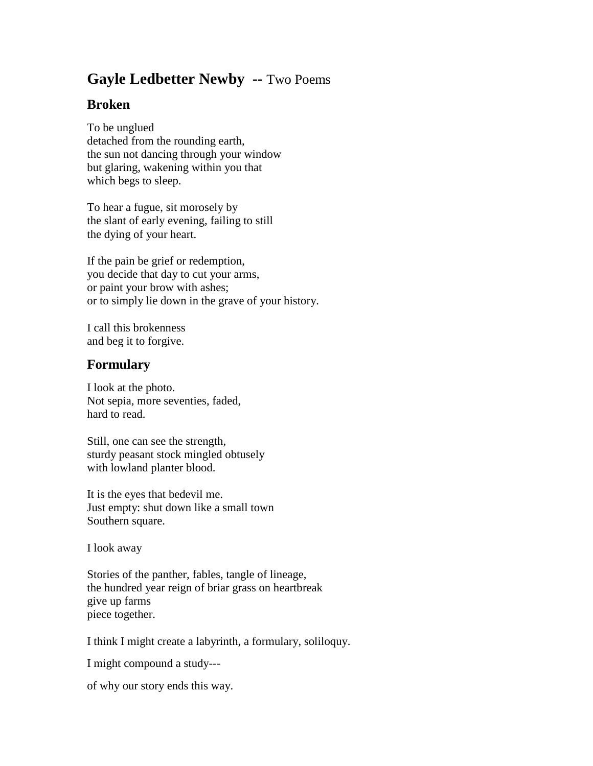## **Gayle Ledbetter Newby --** Two Poems

## **Broken**

To be unglued detached from the rounding earth, the sun not dancing through your window but glaring, wakening within you that which begs to sleep.

To hear a fugue, sit morosely by the slant of early evening, failing to still the dying of your heart.

If the pain be grief or redemption, you decide that day to cut your arms, or paint your brow with ashes; or to simply lie down in the grave of your history.

I call this brokenness and beg it to forgive.

## **Formulary**

I look at the photo. Not sepia, more seventies, faded, hard to read.

Still, one can see the strength, sturdy peasant stock mingled obtusely with lowland planter blood.

It is the eyes that bedevil me. Just empty: shut down like a small town Southern square.

I look away

Stories of the panther, fables, tangle of lineage, the hundred year reign of briar grass on heartbreak give up farms piece together.

I think I might create a labyrinth, a formulary, soliloquy.

I might compound a study---

of why our story ends this way.